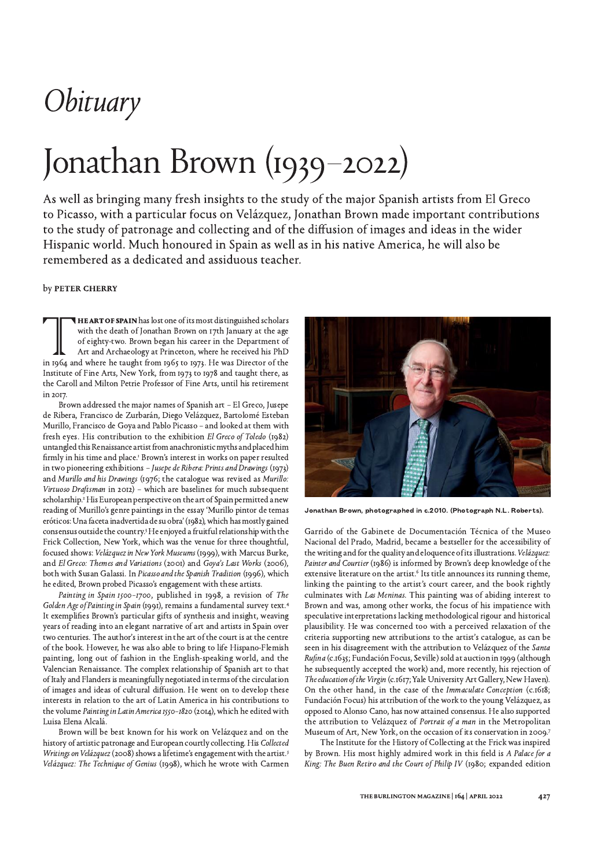## Obituary

# Jonathan Brown (1939-2022)

As well as bringing many fresh insights to the study of the major Spanish artists from El Greco to Picasso, with a particular focus on Velázquez, Jonathan Brown made important contributions to the study of patronage and collecting and of the diffusion of images and ideas in the wider Hispanic world. Much honoured in Spain as well as in his native America, he will also be remembered as a dedicated and assiduous teacher.

### by PETER CHERRY

HE ART OF SPAIN has lost one of its most distinguished scholars with the death of Jonathan Brown on 17th January at the age of eighty-two. Brown began his career in the Department of Art and Archaeology at Princeton, where he received his PhD in 1964 and where he taught from 1965 to 1973. He was Director of the Institute of Fine Arts, New York, from 1973 to 1978 and taught there, as the Caroll and Milton Petrie Professor of Fine Arts, until his retirement in 2017

Brown addressed the major names of Spanish art - El Greco, Jusepe de Ribera, Francisco de Zurbarán, Diego Velázquez, Bartolomé Esteban Murillo, Francisco de Goya and Pablo Picasso - and looked at them with fresh eyes. His contribution to the exhibition El Greco of Toledo (1982) untangled this Renaissance artist from anachronistic myths and placed him firmly in his time and place.<sup>1</sup> Brown's interest in works on paper resulted in two pioneering exhibitions - Jusepe de Ribera: Prints and Drawings (1973) and Murillo and his Drawings (1976; the catalogue was revised as Murillo: Virtuoso Draftsman in 2012) - which are baselines for much subsequent scholarship.<sup>2</sup> His European perspective on the art of Spain permitted a new reading of Murillo's genre paintings in the essay 'Murillo pintor de temas eróticos: Una faceta inadvertida de su obra' (1982), which has mostly gained consensus outside the country.<sup>3</sup> He enjoyed a fruitful relationship with the Frick Collection, New York, which was the venue for three thoughtful, focused shows: Velázquez in New York Museums (1999), with Marcus Burke, and El Greco: Themes and Variations (2001) and Goya's Last Works (2006), both with Susan Galassi. In Picasso and the Spanish Tradition (1996), which he edited, Brown probed Picasso's engagement with these artists.

Painting in Spain 1500-1700, published in 1998, a revision of The Golden Age of Painting in Spain (1991), remains a fundamental survey text.<sup>4</sup> It exemplifies Brown's particular gifts of synthesis and insight, weaving years of reading into an elegant narrative of art and artists in Spain over two centuries. The author's interest in the art of the court is at the centre of the book. However, he was also able to bring to life Hispano-Flemish painting, long out of fashion in the English-speaking world, and the Valencian Renaissance. The complex relationship of Spanish art to that of Italy and Flanders is meaningfully negotiated in terms of the circulation of images and ideas of cultural diffusion. He went on to develop these interests in relation to the art of Latin America in his contributions to the volume Painting in Latin America 1550-1820 (2014), which he edited with Luisa Elena Alcalá.

Brown will be best known for his work on Velázquez and on the history of artistic patronage and European courtly collecting. His Collected Writings on Velázquez (2008) shows a lifetime's engagement with the artist.<sup>5</sup> Velázquez: The Technique of Genius (1998), which he wrote with Carmen



Jonathan Brown, photographed in c.2010. (Photograph N.L. Roberts).

Garrido of the Gabinete de Documentación Técnica of the Museo Nacional del Prado, Madrid, became a bestseller for the accessibility of the writing and for the quality and eloquence of its illustrations. Velázquez: Painter and Courtier (1986) is informed by Brown's deep knowledge of the extensive literature on the artist.<sup>6</sup> Its title announces its running theme, linking the painting to the artist's court career, and the book rightly culminates with Las Meninas. This painting was of abiding interest to Brown and was, among other works, the focus of his impatience with speculative interpretations lacking methodological rigour and historical plausibility. He was concerned too with a perceived relaxation of the criteria supporting new attributions to the artist's catalogue, as can be seen in his disagreement with the attribution to Velázquez of the Santa Rufina (c.1635; Fundación Focus, Seville) sold at auction in 1999 (although he subsequently accepted the work) and, more recently, his rejection of The education of the Virgin (c.1617; Yale University Art Gallery, New Haven). On the other hand, in the case of the Immaculate Conception (c.1618; Fundación Focus) his attribution of the work to the young Velázquez, as opposed to Alonso Cano, has now attained consensus. He also supported the attribution to Velázquez of Portrait of a man in the Metropolitan Museum of Art, New York, on the occasion of its conservation in 2009.7

The Institute for the History of Collecting at the Frick was inspired by Brown. His most highly admired work in this field is A Palace for a King: The Buen Retiro and the Court of Philip IV (1980; expanded edition